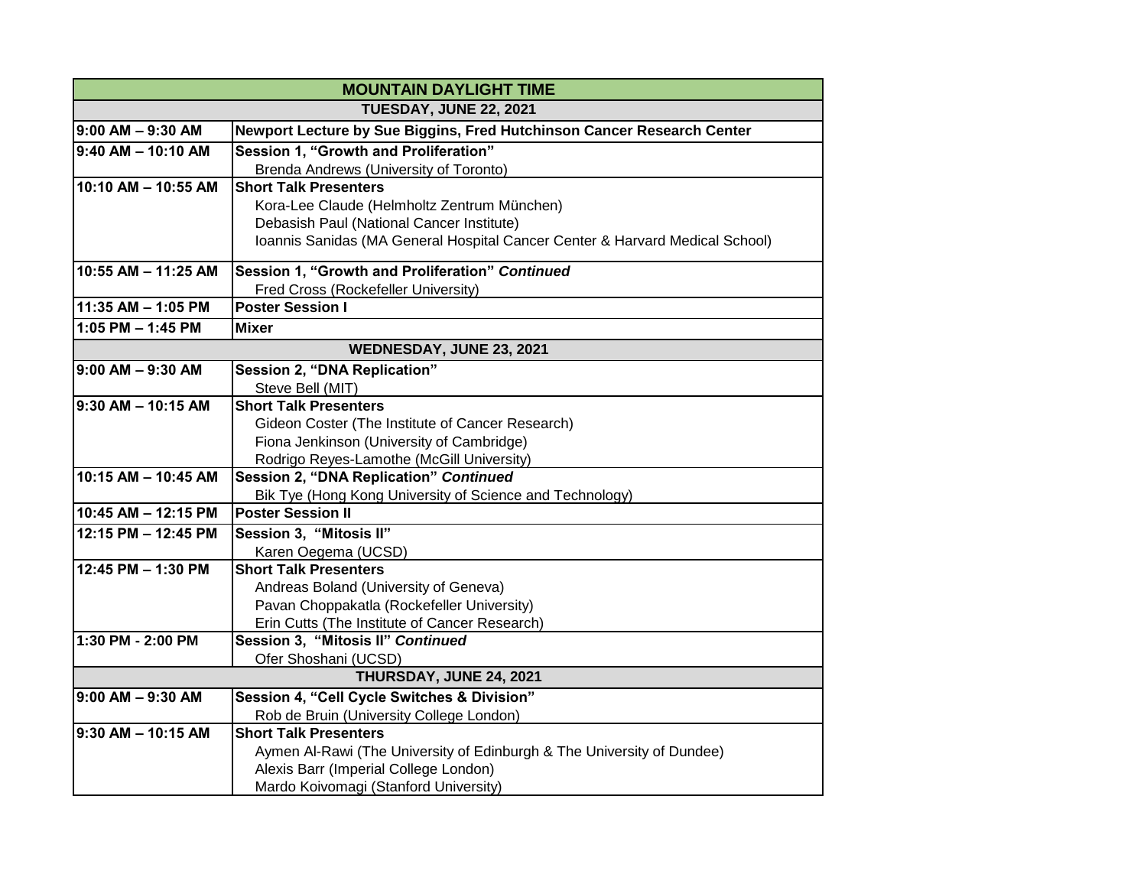| <b>MOUNTAIN DAYLIGHT TIME</b> |                                                                                      |
|-------------------------------|--------------------------------------------------------------------------------------|
| <b>TUESDAY, JUNE 22, 2021</b> |                                                                                      |
| $9:00$ AM $-9:30$ AM          | Newport Lecture by Sue Biggins, Fred Hutchinson Cancer Research Center               |
| 9:40 AM - 10:10 AM            | Session 1, "Growth and Proliferation"                                                |
|                               | Brenda Andrews (University of Toronto)                                               |
| 10:10 AM - 10:55 AM           | <b>Short Talk Presenters</b>                                                         |
|                               | Kora-Lee Claude (Helmholtz Zentrum München)                                          |
|                               | Debasish Paul (National Cancer Institute)                                            |
|                               | Ioannis Sanidas (MA General Hospital Cancer Center & Harvard Medical School)         |
| 10:55 AM - 11:25 AM           | Session 1, "Growth and Proliferation" Continued                                      |
|                               | Fred Cross (Rockefeller University)                                                  |
| 11:35 AM - 1:05 PM            | <b>Poster Session I</b>                                                              |
| 1:05 PM $-$ 1:45 PM           | <b>Mixer</b>                                                                         |
| WEDNESDAY, JUNE 23, 2021      |                                                                                      |
| $9:00$ AM $-9:30$ AM          | Session 2, "DNA Replication"                                                         |
|                               | Steve Bell (MIT)                                                                     |
| $9:30$ AM - 10:15 AM          | <b>Short Talk Presenters</b>                                                         |
|                               | Gideon Coster (The Institute of Cancer Research)                                     |
|                               | Fiona Jenkinson (University of Cambridge)                                            |
|                               | Rodrigo Reyes-Lamothe (McGill University)                                            |
| 10:15 AM - 10:45 AM           | Session 2, "DNA Replication" Continued                                               |
| 10:45 AM - 12:15 PM           | Bik Tye (Hong Kong University of Science and Technology)<br><b>Poster Session II</b> |
|                               |                                                                                      |
| 12:15 PM - 12:45 PM           | Session 3, "Mitosis II"                                                              |
| 12:45 PM - 1:30 PM            | Karen Oegema (UCSD)<br><b>Short Talk Presenters</b>                                  |
|                               | Andreas Boland (University of Geneva)                                                |
|                               | Pavan Choppakatla (Rockefeller University)                                           |
|                               | Erin Cutts (The Institute of Cancer Research)                                        |
| 1:30 PM - 2:00 PM             | Session 3, "Mitosis II" Continued                                                    |
|                               | Ofer Shoshani (UCSD)                                                                 |
|                               | THURSDAY, JUNE 24, 2021                                                              |
| $9:00$ AM $-9:30$ AM          | Session 4, "Cell Cycle Switches & Division"                                          |
|                               | Rob de Bruin (University College London)                                             |
| $9:30$ AM - 10:15 AM          | <b>Short Talk Presenters</b>                                                         |
|                               | Aymen Al-Rawi (The University of Edinburgh & The University of Dundee)               |
|                               | Alexis Barr (Imperial College London)                                                |
|                               | Mardo Koivomagi (Stanford University)                                                |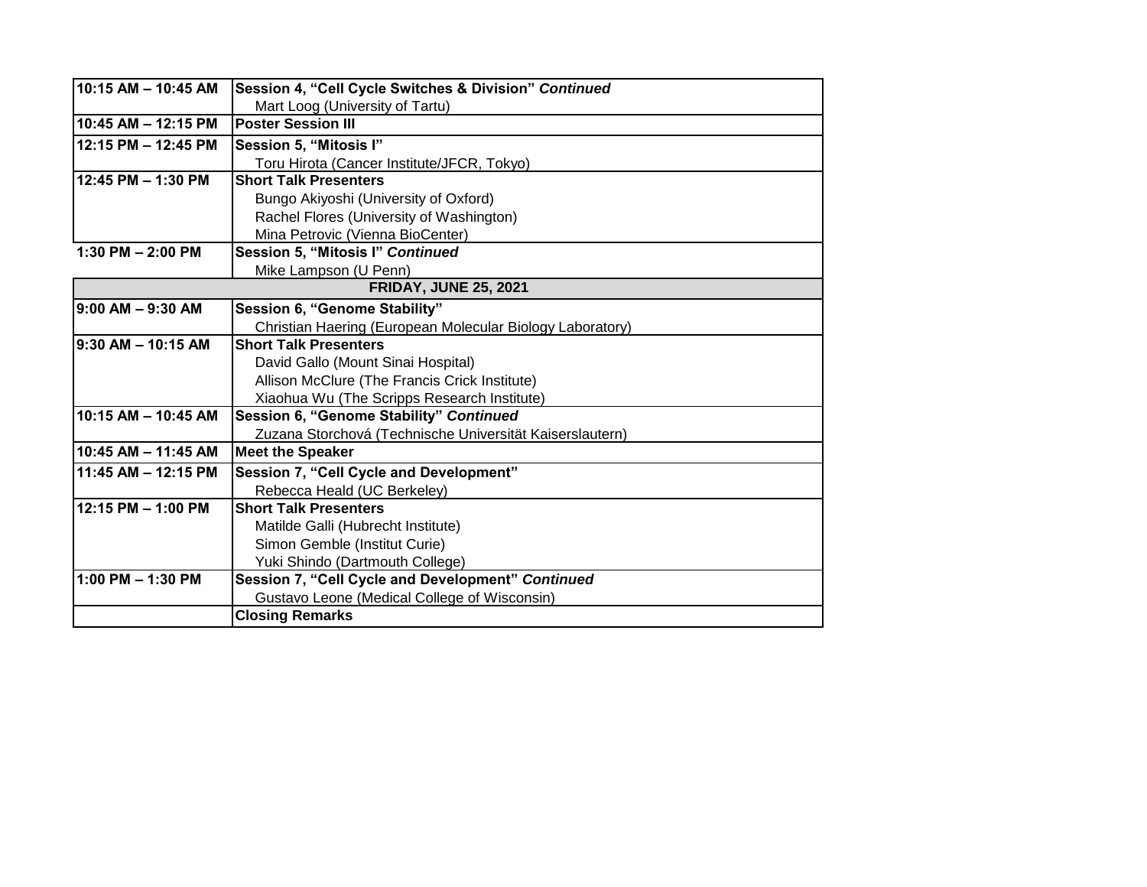| 10:15 AM - 10:45 AM          | Session 4, "Cell Cycle Switches & Division" Continued     |
|------------------------------|-----------------------------------------------------------|
|                              | Mart Loog (University of Tartu)                           |
| 10:45 AM - 12:15 PM          | <b>Poster Session III</b>                                 |
| 12:15 PM - 12:45 PM          | Session 5, "Mitosis I"                                    |
|                              | Toru Hirota (Cancer Institute/JFCR, Tokyo)                |
| 12:45 PM - 1:30 PM           | <b>Short Talk Presenters</b>                              |
|                              | Bungo Akiyoshi (University of Oxford)                     |
|                              | Rachel Flores (University of Washington)                  |
|                              | Mina Petrovic (Vienna BioCenter)                          |
| 1:30 PM $- 2:00$ PM          | Session 5, "Mitosis I" Continued                          |
|                              | Mike Lampson (U Penn)                                     |
| <b>FRIDAY, JUNE 25, 2021</b> |                                                           |
| $9:00$ AM $-9:30$ AM         | Session 6, "Genome Stability"                             |
|                              | Christian Haering (European Molecular Biology Laboratory) |
| 9:30 AM - 10:15 AM           | <b>Short Talk Presenters</b>                              |
|                              | David Gallo (Mount Sinai Hospital)                        |
|                              | Allison McClure (The Francis Crick Institute)             |
|                              | Xiaohua Wu (The Scripps Research Institute)               |
| 10:15 AM - 10:45 AM          | Session 6, "Genome Stability" Continued                   |
|                              | Zuzana Storchová (Technische Universität Kaiserslautern)  |
| 10:45 AM - 11:45 AM          | <b>Meet the Speaker</b>                                   |
| 11:45 AM - 12:15 PM          | Session 7, "Cell Cycle and Development"                   |
|                              | Rebecca Heald (UC Berkeley)                               |
| 12:15 PM - 1:00 PM           | <b>Short Talk Presenters</b>                              |
|                              | Matilde Galli (Hubrecht Institute)                        |
|                              | Simon Gemble (Institut Curie)                             |
|                              | Yuki Shindo (Dartmouth College)                           |
| 1:00 PM $-$ 1:30 PM          | Session 7, "Cell Cycle and Development" Continued         |
|                              | Gustavo Leone (Medical College of Wisconsin)              |
|                              | <b>Closing Remarks</b>                                    |